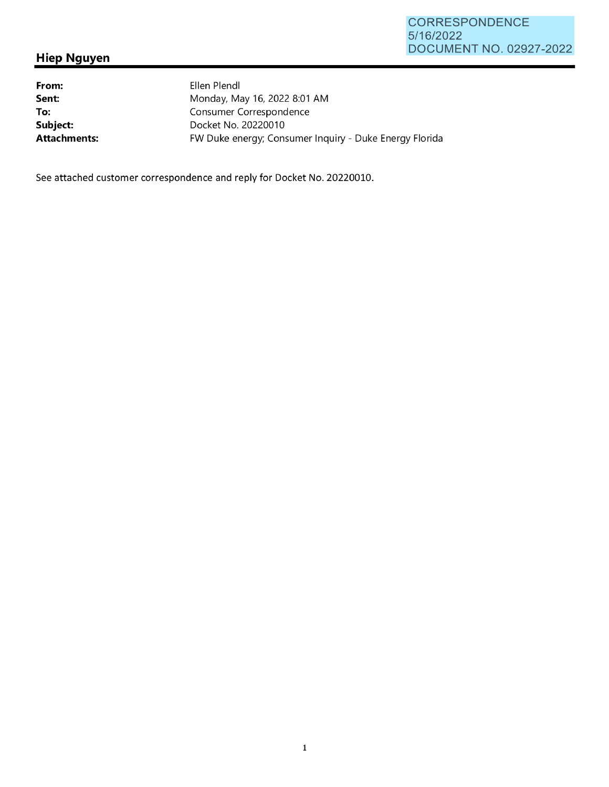## **Hiep Nguyen**

**From: Sent: To: Subject: Attachments:**  Ellen Plendl Monday, May 16, 2022 8:01 AM Consumer Correspondence Docket No. 20220010 FW Duke energy; Consumer Inquiry - Duke Energy Florida

See attached customer correspondence and reply for Docket No. 20220010.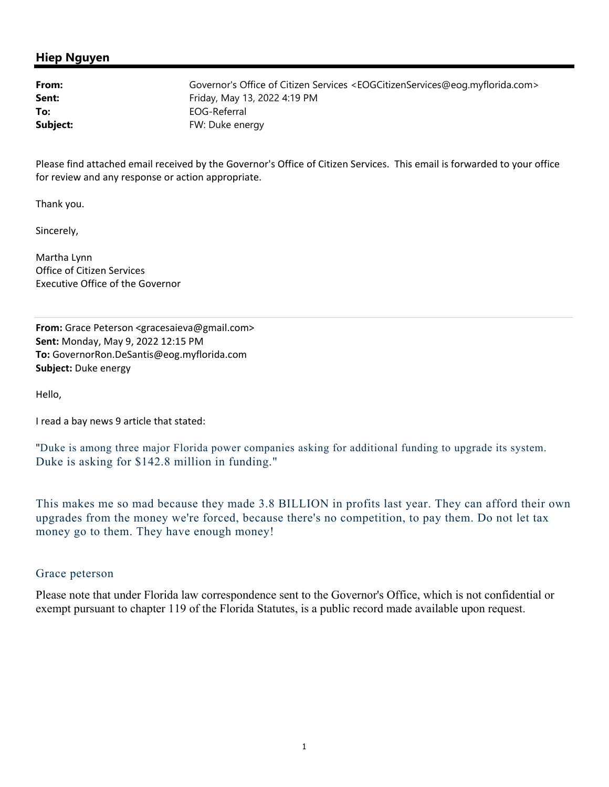## **Hiep Nguyen**

**From:** Governor's Office of Citizen Services <EOGCitizenServices@eog.myflorida.com> **Sent:** Friday, May 13, 2022 4:19 PM To: EOG-Referral **Subject:** FW: Duke energy

Please find attached email received by the Governor's Office of Citizen Services. This email is forwarded to your office for review and any response or action appropriate.

Thank you.

Sincerely,

Martha Lynn Office of Citizen Services Executive Office of the Governor

**From:** Grace Peterson <gracesaieva@gmail.com> **Sent:** Monday, May 9, 2022 12:15 PM **To:** GovernorRon.DeSantis@eog.myflorida.com **Subject:** Duke energy

Hello,

I read a bay news 9 article that stated:

"Duke is among three major Florida power companies asking for additional funding to upgrade its system. Duke is asking for \$142.8 million in funding."

This makes me so mad because they made 3.8 BILLION in profits last year. They can afford their own upgrades from the money we're forced, because there's no competition, to pay them. Do not let tax money go to them. They have enough money!

## Grace peterson

Please note that under Florida law correspondence sent to the Governor's Office, which is not confidential or exempt pursuant to chapter 119 of the Florida Statutes, is a public record made available upon request.